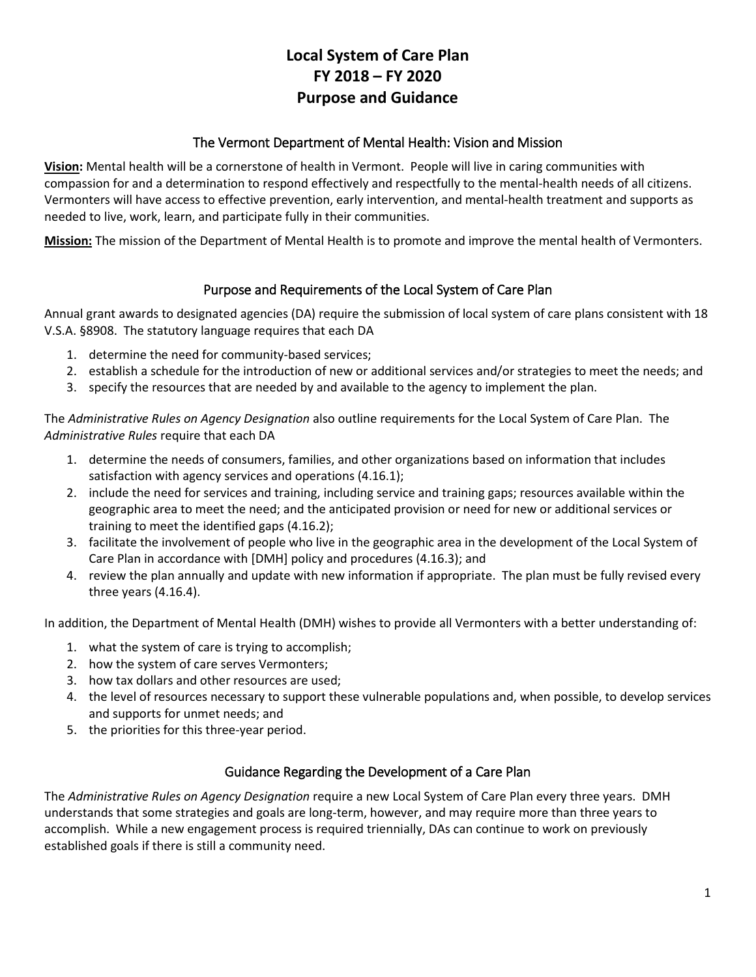# **Local System of Care Plan FY 2018 – FY 2020 Purpose and Guidance**

## The Vermont Department of Mental Health: Vision and Mission

**Vision:** Mental health will be a cornerstone of health in Vermont. People will live in caring communities with compassion for and a determination to respond effectively and respectfully to the mental-health needs of all citizens. Vermonters will have access to effective prevention, early intervention, and mental-health treatment and supports as needed to live, work, learn, and participate fully in their communities.

**Mission:** The mission of the Department of Mental Health is to promote and improve the mental health of Vermonters.

## Purpose and Requirements of the Local System of Care Plan

Annual grant awards to designated agencies (DA) require the submission of local system of care plans consistent with 18 V.S.A. §8908. The statutory language requires that each DA

- 1. determine the need for community-based services;
- 2. establish a schedule for the introduction of new or additional services and/or strategies to meet the needs; and
- 3. specify the resources that are needed by and available to the agency to implement the plan.

The *Administrative Rules on Agency Designation* also outline requirements for the Local System of Care Plan. The *Administrative Rules* require that each DA

- 1. determine the needs of consumers, families, and other organizations based on information that includes satisfaction with agency services and operations (4.16.1);
- 2. include the need for services and training, including service and training gaps; resources available within the geographic area to meet the need; and the anticipated provision or need for new or additional services or training to meet the identified gaps (4.16.2);
- 3. facilitate the involvement of people who live in the geographic area in the development of the Local System of Care Plan in accordance with [DMH] policy and procedures (4.16.3); and
- 4. review the plan annually and update with new information if appropriate. The plan must be fully revised every three years (4.16.4).

In addition, the Department of Mental Health (DMH) wishes to provide all Vermonters with a better understanding of:

- 1. what the system of care is trying to accomplish;
- 2. how the system of care serves Vermonters;
- 3. how tax dollars and other resources are used;
- 4. the level of resources necessary to support these vulnerable populations and, when possible, to develop services and supports for unmet needs; and
- 5. the priorities for this three-year period.

## Guidance Regarding the Development of a Care Plan

The *Administrative Rules on Agency Designation* require a new Local System of Care Plan every three years. DMH understands that some strategies and goals are long-term, however, and may require more than three years to accomplish. While a new engagement process is required triennially, DAs can continue to work on previously established goals if there is still a community need.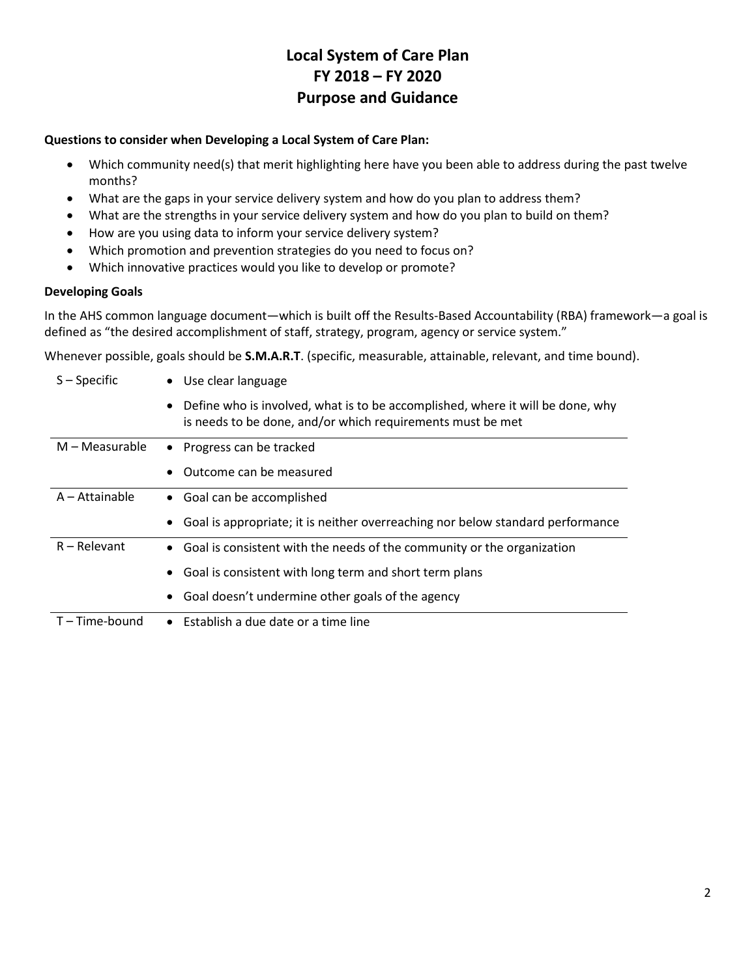# **Local System of Care Plan FY 2018 – FY 2020 Purpose and Guidance**

### **Questions to consider when Developing a Local System of Care Plan:**

- Which community need(s) that merit highlighting here have you been able to address during the past twelve months?
- What are the gaps in your service delivery system and how do you plan to address them?
- What are the strengths in your service delivery system and how do you plan to build on them?
- How are you using data to inform your service delivery system?
- Which promotion and prevention strategies do you need to focus on?
- Which innovative practices would you like to develop or promote?

### **Developing Goals**

In the AHS common language document—which is built off the Results-Based Accountability (RBA) framework—a goal is defined as "the desired accomplishment of staff, strategy, program, agency or service system."

Whenever possible, goals should be **S.M.A.R.T**. (specific, measurable, attainable, relevant, and time bound).

| $S -$ Specific | • Use clear language                                                                                                                           |
|----------------|------------------------------------------------------------------------------------------------------------------------------------------------|
|                | • Define who is involved, what is to be accomplished, where it will be done, why<br>is needs to be done, and/or which requirements must be met |
| M – Measurable | • Progress can be tracked                                                                                                                      |
|                | Outcome can be measured                                                                                                                        |
| A - Attainable | • Goal can be accomplished                                                                                                                     |
|                | • Goal is appropriate; it is neither overreaching nor below standard performance                                                               |
| $R -$ Relevant | • Goal is consistent with the needs of the community or the organization                                                                       |
|                | • Goal is consistent with long term and short term plans                                                                                       |
|                | Goal doesn't undermine other goals of the agency                                                                                               |
| T-Time-bound   | $\bullet$ Establish a due date or a time line                                                                                                  |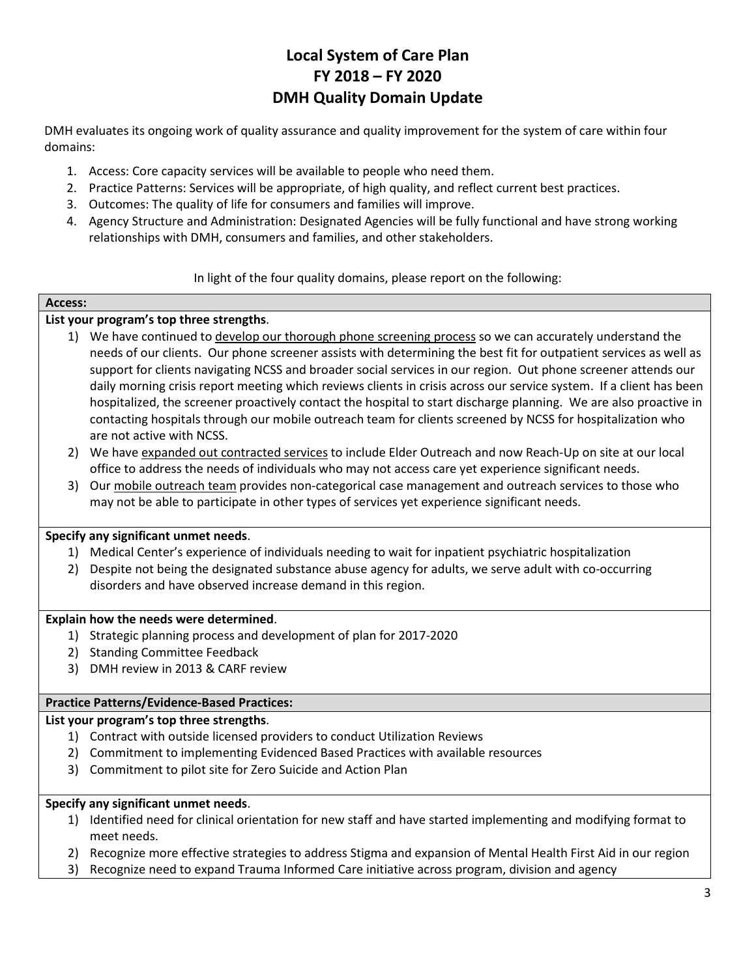# **Local System of Care Plan FY 2018 – FY 2020 DMH Quality Domain Update**

DMH evaluates its ongoing work of quality assurance and quality improvement for the system of care within four domains:

- 1. Access: Core capacity services will be available to people who need them.
- 2. Practice Patterns: Services will be appropriate, of high quality, and reflect current best practices.
- 3. Outcomes: The quality of life for consumers and families will improve.
- 4. Agency Structure and Administration: Designated Agencies will be fully functional and have strong working relationships with DMH, consumers and families, and other stakeholders.

In light of the four quality domains, please report on the following:

# **Access:**

## **List your program's top three strengths**.

- 1) We have continued to develop our thorough phone screening process so we can accurately understand the needs of our clients. Our phone screener assists with determining the best fit for outpatient services as well as support for clients navigating NCSS and broader social services in our region. Out phone screener attends our daily morning crisis report meeting which reviews clients in crisis across our service system. If a client has been hospitalized, the screener proactively contact the hospital to start discharge planning. We are also proactive in contacting hospitals through our mobile outreach team for clients screened by NCSS for hospitalization who are not active with NCSS.
- 2) We have expanded out contracted services to include Elder Outreach and now Reach-Up on site at our local office to address the needs of individuals who may not access care yet experience significant needs.
- 3) Our mobile outreach team provides non-categorical case management and outreach services to those who may not be able to participate in other types of services yet experience significant needs.

## **Specify any significant unmet needs**.

- 1) Medical Center's experience of individuals needing to wait for inpatient psychiatric hospitalization
- 2) Despite not being the designated substance abuse agency for adults, we serve adult with co-occurring disorders and have observed increase demand in this region.

## **Explain how the needs were determined**.

- 1) Strategic planning process and development of plan for 2017-2020
- 2) Standing Committee Feedback
- 3) DMH review in 2013 & CARF review

## **Practice Patterns/Evidence-Based Practices:**

### **List your program's top three strengths**.

- 1) Contract with outside licensed providers to conduct Utilization Reviews
- 2) Commitment to implementing Evidenced Based Practices with available resources
- 3) Commitment to pilot site for Zero Suicide and Action Plan

### **Specify any significant unmet needs**.

- 1) Identified need for clinical orientation for new staff and have started implementing and modifying format to meet needs.
- 2) Recognize more effective strategies to address Stigma and expansion of Mental Health First Aid in our region
- 3) Recognize need to expand Trauma Informed Care initiative across program, division and agency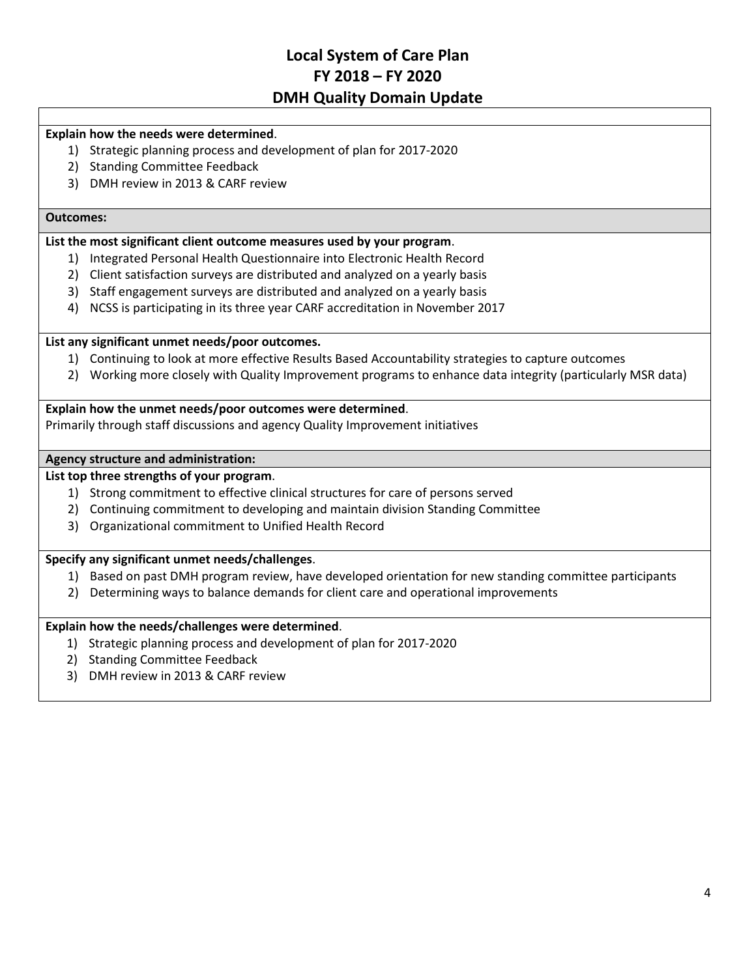# **Local System of Care Plan FY 2018 – FY 2020 DMH Quality Domain Update**

### **Explain how the needs were determined**.

- 1) Strategic planning process and development of plan for 2017-2020
- 2) Standing Committee Feedback
- 3) DMH review in 2013 & CARF review

#### **Outcomes:**

## **List the most significant client outcome measures used by your program**.

- 1) Integrated Personal Health Questionnaire into Electronic Health Record
- 2) Client satisfaction surveys are distributed and analyzed on a yearly basis
- 3) Staff engagement surveys are distributed and analyzed on a yearly basis
- 4) NCSS is participating in its three year CARF accreditation in November 2017

#### **List any significant unmet needs/poor outcomes.**

- 1) Continuing to look at more effective Results Based Accountability strategies to capture outcomes
- 2) Working more closely with Quality Improvement programs to enhance data integrity (particularly MSR data)

### **Explain how the unmet needs/poor outcomes were determined**.

Primarily through staff discussions and agency Quality Improvement initiatives

#### **Agency structure and administration:**

## **List top three strengths of your program**.

- 1) Strong commitment to effective clinical structures for care of persons served
- 2) Continuing commitment to developing and maintain division Standing Committee
- 3) Organizational commitment to Unified Health Record

### **Specify any significant unmet needs/challenges**.

- 1) Based on past DMH program review, have developed orientation for new standing committee participants
- 2) Determining ways to balance demands for client care and operational improvements

#### **Explain how the needs/challenges were determined**.

- 1) Strategic planning process and development of plan for 2017-2020
- 2) Standing Committee Feedback
- 3) DMH review in 2013 & CARF review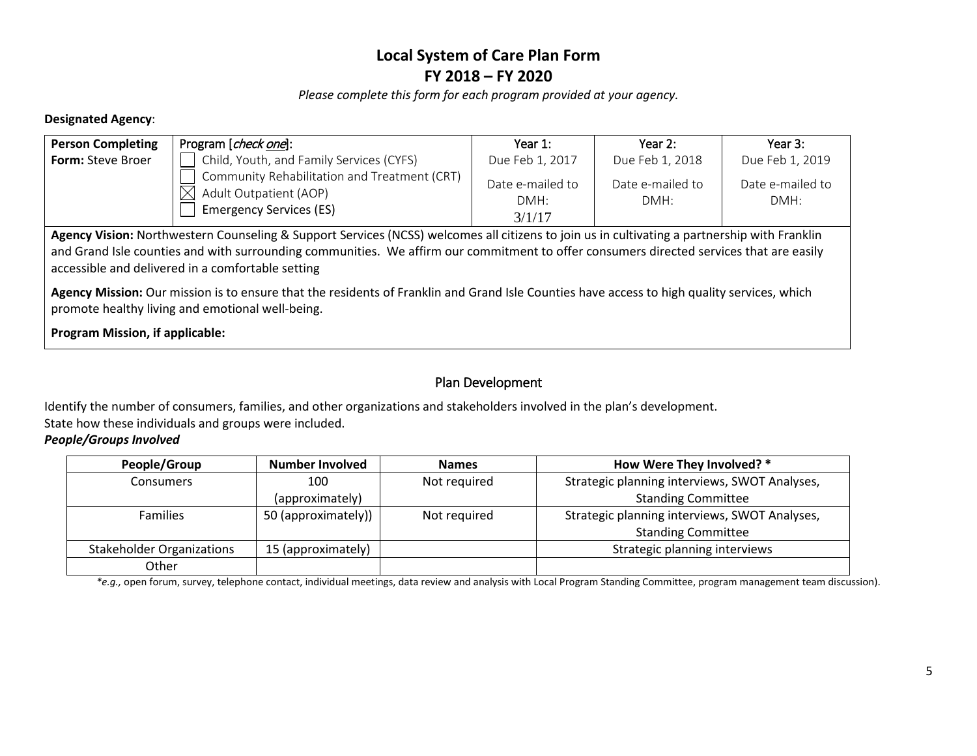*Please complete this form for each program provided at your agency.*

## **Designated Agency**:

| <b>Person Completing</b>                                                                                                                                                                        | Program [check one]:                                                                                     | Year $1:$                          | Year $2:$                | Year 3:                  |  |  |
|-------------------------------------------------------------------------------------------------------------------------------------------------------------------------------------------------|----------------------------------------------------------------------------------------------------------|------------------------------------|--------------------------|--------------------------|--|--|
| <b>Form: Steve Broer</b>                                                                                                                                                                        | Child, Youth, and Family Services (CYFS)                                                                 | Due Feb 1, 2017                    | Due Feb 1, 2018          | Due Feb 1, 2019          |  |  |
|                                                                                                                                                                                                 | Community Rehabilitation and Treatment (CRT)<br>Adult Outpatient (AOP)<br><b>Emergency Services (ES)</b> | Date e-mailed to<br>DMH:<br>3/1/17 | Date e-mailed to<br>DMH: | Date e-mailed to<br>DMH: |  |  |
| Agency Vision: Northwestern Counseling & Support Services (NCSS) welcomes all citizens to join us in cultivating a partnership with Franklin                                                    |                                                                                                          |                                    |                          |                          |  |  |
| and Grand Isle counties and with surrounding communities. We affirm our commitment to offer consumers directed services that are easily<br>accessible and delivered in a comfortable setting    |                                                                                                          |                                    |                          |                          |  |  |
| Agency Mission: Our mission is to ensure that the residents of Franklin and Grand Isle Counties have access to high quality services, which<br>promote healthy living and emotional well-being. |                                                                                                          |                                    |                          |                          |  |  |
| <b>Program Mission, if applicable:</b>                                                                                                                                                          |                                                                                                          |                                    |                          |                          |  |  |

## Plan Development

Identify the number of consumers, families, and other organizations and stakeholders involved in the plan's development. State how these individuals and groups were included.

## *People/Groups Involved*

| People/Group                     | <b>Number Involved</b> | <b>Names</b> | How Were They Involved? *                     |
|----------------------------------|------------------------|--------------|-----------------------------------------------|
| <b>Consumers</b>                 | 100                    | Not required | Strategic planning interviews, SWOT Analyses, |
|                                  | (approximately)        |              | <b>Standing Committee</b>                     |
| <b>Families</b>                  | 50 (approximately))    | Not required | Strategic planning interviews, SWOT Analyses, |
|                                  |                        |              | <b>Standing Committee</b>                     |
| <b>Stakeholder Organizations</b> | 15 (approximately)     |              | Strategic planning interviews                 |
| Other                            |                        |              |                                               |

*\*e.g.,* open forum, survey, telephone contact, individual meetings, data review and analysis with Local Program Standing Committee, program management team discussion).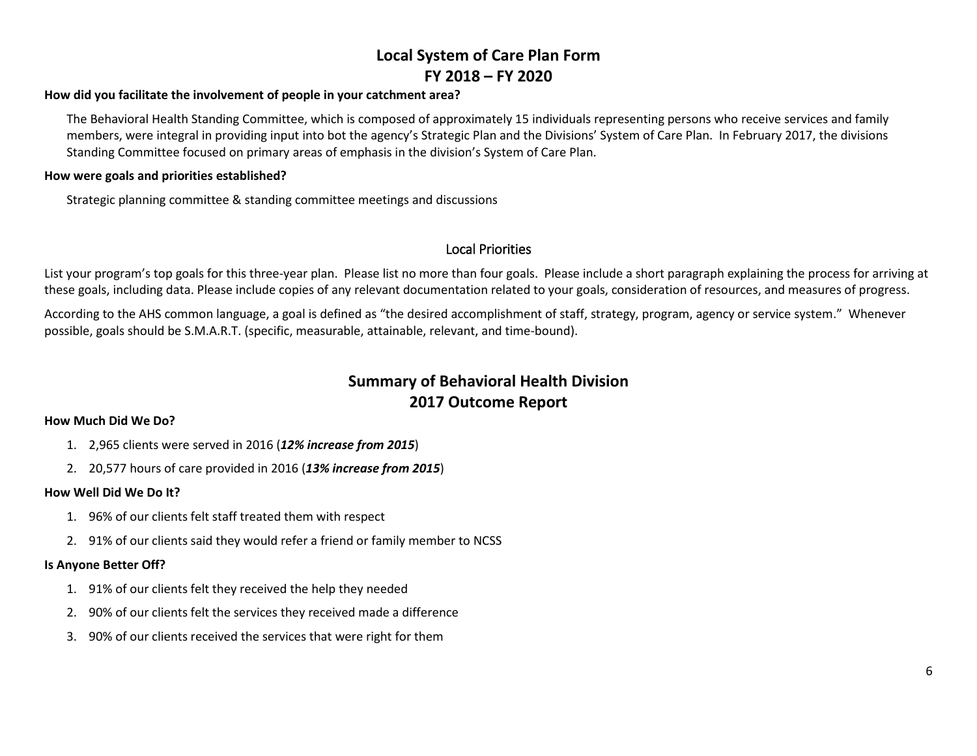#### **How did you facilitate the involvement of people in your catchment area?**

The Behavioral Health Standing Committee, which is composed of approximately 15 individuals representing persons who receive services and family members, were integral in providing input into bot the agency's Strategic Plan and the Divisions' System of Care Plan. In February 2017, the divisions Standing Committee focused on primary areas of emphasis in the division's System of Care Plan.

#### **How were goals and priorities established?**

Strategic planning committee & standing committee meetings and discussions

## Local Priorities

List your program's top goals for this three-year plan. Please list no more than four goals. Please include a short paragraph explaining the process for arriving at these goals, including data. Please include copies of any relevant documentation related to your goals, consideration of resources, and measures of progress.

According to the AHS common language, a goal is defined as "the desired accomplishment of staff, strategy, program, agency or service system." Whenever possible, goals should be S.M.A.R.T. (specific, measurable, attainable, relevant, and time-bound).

## **Summary of Behavioral Health Division 2017 Outcome Report**

### **How Much Did We Do?**

- 1. 2,965 clients were served in 2016 (*12% increase from 2015*)
- 2. 20,577 hours of care provided in 2016 (*13% increase from 2015*)

### **How Well Did We Do It?**

- 1. 96% of our clients felt staff treated them with respect
- 2. 91% of our clients said they would refer a friend or family member to NCSS

### **Is Anyone Better Off?**

- 1. 91% of our clients felt they received the help they needed
- 2. 90% of our clients felt the services they received made a difference
- 3. 90% of our clients received the services that were right for them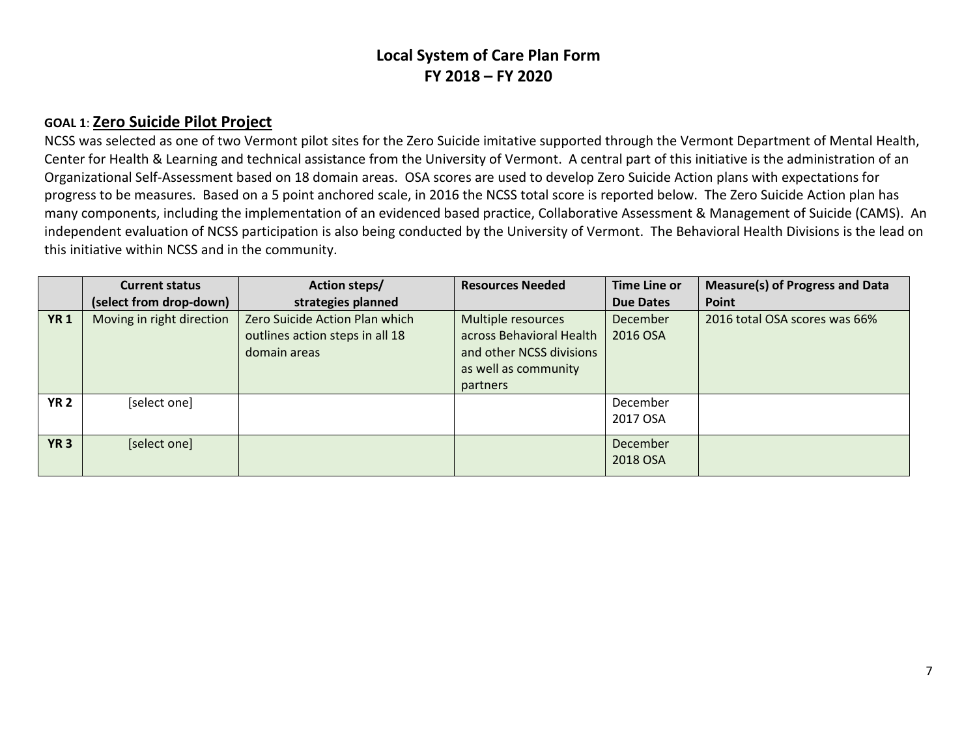## **GOAL 1**: **Zero Suicide Pilot Project**

NCSS was selected as one of two Vermont pilot sites for the Zero Suicide imitative supported through the Vermont Department of Mental Health, Center for Health & Learning and technical assistance from the University of Vermont. A central part of this initiative is the administration of an Organizational Self-Assessment based on 18 domain areas. OSA scores are used to develop Zero Suicide Action plans with expectations for progress to be measures. Based on a 5 point anchored scale, in 2016 the NCSS total score is reported below. The Zero Suicide Action plan has many components, including the implementation of an evidenced based practice, Collaborative Assessment & Management of Suicide (CAMS). An independent evaluation of NCSS participation is also being conducted by the University of Vermont. The Behavioral Health Divisions is the lead on this initiative within NCSS and in the community.

|             | <b>Current status</b>     | Action steps/                                                                     | <b>Resources Needed</b>                                                                                               | <b>Time Line or</b>  | <b>Measure(s) of Progress and Data</b> |
|-------------|---------------------------|-----------------------------------------------------------------------------------|-----------------------------------------------------------------------------------------------------------------------|----------------------|----------------------------------------|
|             | (select from drop-down)   | strategies planned                                                                |                                                                                                                       | <b>Due Dates</b>     | Point                                  |
| <b>YR1</b>  | Moving in right direction | Zero Suicide Action Plan which<br>outlines action steps in all 18<br>domain areas | Multiple resources<br>across Behavioral Health<br>and other NCSS divisions<br>as well as community<br><b>partners</b> | December<br>2016 OSA | 2016 total OSA scores was 66%          |
| <b>YR 2</b> | [select one]              |                                                                                   |                                                                                                                       | December<br>2017 OSA |                                        |
| <b>YR 3</b> | [select one]              |                                                                                   |                                                                                                                       | December<br>2018 OSA |                                        |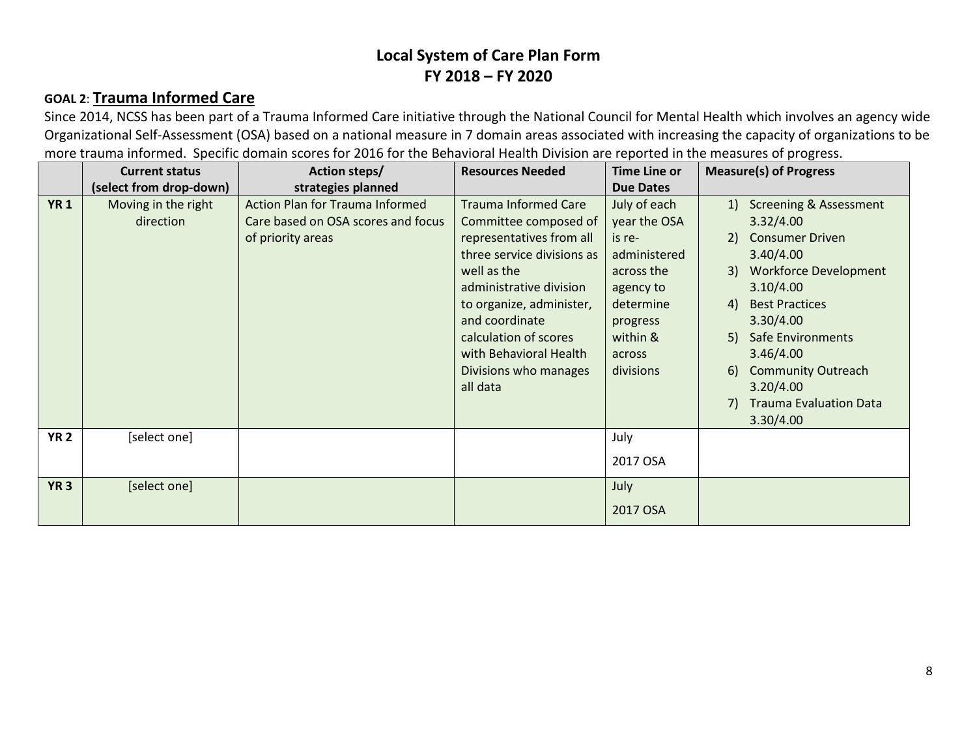# **GOAL 2**: **Trauma Informed Care**

Since 2014, NCSS has been part of a Trauma Informed Care initiative through the National Council for Mental Health which involves an agency wide Organizational Self-Assessment (OSA) based on a national measure in 7 domain areas associated with increasing the capacity of organizations to be more trauma informed. Specific domain scores for 2016 for the Behavioral Health Division are reported in the measures of progress.

|             | <b>Current status</b>            | Action steps/                                                                                     | <b>Resources Needed</b>                                                                                                                                                                                                                                                                        | Time Line or                                                                                                                                  | <b>Measure(s) of Progress</b>                                                                                                                                                                                                                                                                                                                        |
|-------------|----------------------------------|---------------------------------------------------------------------------------------------------|------------------------------------------------------------------------------------------------------------------------------------------------------------------------------------------------------------------------------------------------------------------------------------------------|-----------------------------------------------------------------------------------------------------------------------------------------------|------------------------------------------------------------------------------------------------------------------------------------------------------------------------------------------------------------------------------------------------------------------------------------------------------------------------------------------------------|
|             | (select from drop-down)          | strategies planned                                                                                |                                                                                                                                                                                                                                                                                                | <b>Due Dates</b>                                                                                                                              |                                                                                                                                                                                                                                                                                                                                                      |
| <b>YR1</b>  | Moving in the right<br>direction | <b>Action Plan for Trauma Informed</b><br>Care based on OSA scores and focus<br>of priority areas | <b>Trauma Informed Care</b><br>Committee composed of<br>representatives from all<br>three service divisions as<br>well as the<br>administrative division<br>to organize, administer,<br>and coordinate<br>calculation of scores<br>with Behavioral Health<br>Divisions who manages<br>all data | July of each<br>year the OSA<br>is re-<br>administered<br>across the<br>agency to<br>determine<br>progress<br>within &<br>across<br>divisions | <b>Screening &amp; Assessment</b><br>1)<br>3.32/4.00<br><b>Consumer Driven</b><br>(2)<br>3.40/4.00<br>3) Workforce Development<br>3.10/4.00<br><b>Best Practices</b><br>4)<br>3.30/4.00<br><b>Safe Environments</b><br>5)<br>3.46/4.00<br><b>Community Outreach</b><br><sup>6</sup><br>3.20/4.00<br><b>Trauma Evaluation Data</b><br>7)<br>3.30/4.00 |
| <b>YR 2</b> | [select one]                     |                                                                                                   |                                                                                                                                                                                                                                                                                                | July<br>2017 OSA                                                                                                                              |                                                                                                                                                                                                                                                                                                                                                      |
| <b>YR 3</b> | [select one]                     |                                                                                                   |                                                                                                                                                                                                                                                                                                | July<br>2017 OSA                                                                                                                              |                                                                                                                                                                                                                                                                                                                                                      |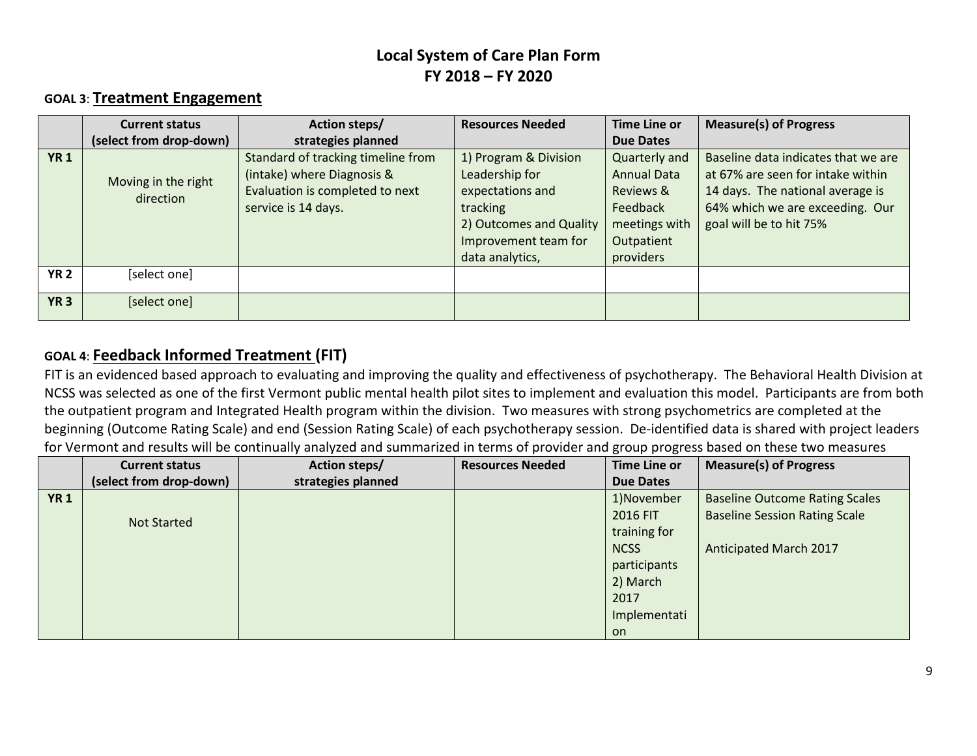## **GOAL 3**: **Treatment Engagement**

|             | <b>Current status</b>            | Action steps/                                                                                                              | <b>Resources Needed</b>                                                                                                                       | Time Line or                                                                                                    | <b>Measure(s) of Progress</b>                                                                                                                                              |
|-------------|----------------------------------|----------------------------------------------------------------------------------------------------------------------------|-----------------------------------------------------------------------------------------------------------------------------------------------|-----------------------------------------------------------------------------------------------------------------|----------------------------------------------------------------------------------------------------------------------------------------------------------------------------|
|             | (select from drop-down)          | strategies planned                                                                                                         |                                                                                                                                               | <b>Due Dates</b>                                                                                                |                                                                                                                                                                            |
| <b>YR1</b>  | Moving in the right<br>direction | Standard of tracking timeline from<br>(intake) where Diagnosis &<br>Evaluation is completed to next<br>service is 14 days. | 1) Program & Division<br>Leadership for<br>expectations and<br>tracking<br>2) Outcomes and Quality<br>Improvement team for<br>data analytics, | Quarterly and<br><b>Annual Data</b><br>Reviews &<br><b>Feedback</b><br>meetings with<br>Outpatient<br>providers | Baseline data indicates that we are<br>at 67% are seen for intake within<br>14 days. The national average is<br>64% which we are exceeding. Our<br>goal will be to hit 75% |
| <b>YR 2</b> | [select one]                     |                                                                                                                            |                                                                                                                                               |                                                                                                                 |                                                                                                                                                                            |
| <b>YR 3</b> | [select one]                     |                                                                                                                            |                                                                                                                                               |                                                                                                                 |                                                                                                                                                                            |

## **GOAL 4**: **Feedback Informed Treatment (FIT)**

FIT is an evidenced based approach to evaluating and improving the quality and effectiveness of psychotherapy. The Behavioral Health Division at NCSS was selected as one of the first Vermont public mental health pilot sites to implement and evaluation this model. Participants are from both the outpatient program and Integrated Health program within the division. Two measures with strong psychometrics are completed at the beginning (Outcome Rating Scale) and end (Session Rating Scale) of each psychotherapy session. De-identified data is shared with project leaders for Vermont and results will be continually analyzed and summarized in terms of provider and group progress based on these two measures

|            | <b>Current status</b>   | Action steps/      | <b>Resources Needed</b> | Time Line or     | <b>Measure(s) of Progress</b>         |
|------------|-------------------------|--------------------|-------------------------|------------------|---------------------------------------|
|            | (select from drop-down) | strategies planned |                         | <b>Due Dates</b> |                                       |
| <b>YR1</b> |                         |                    |                         | 1)November       | <b>Baseline Outcome Rating Scales</b> |
|            | <b>Not Started</b>      |                    |                         | 2016 FIT         | <b>Baseline Session Rating Scale</b>  |
|            |                         |                    |                         | training for     |                                       |
|            |                         |                    |                         | <b>NCSS</b>      | <b>Anticipated March 2017</b>         |
|            |                         |                    |                         | participants     |                                       |
|            |                         |                    |                         | 2) March         |                                       |
|            |                         |                    |                         | 2017             |                                       |
|            |                         |                    |                         | Implementati     |                                       |
|            |                         |                    |                         | on               |                                       |